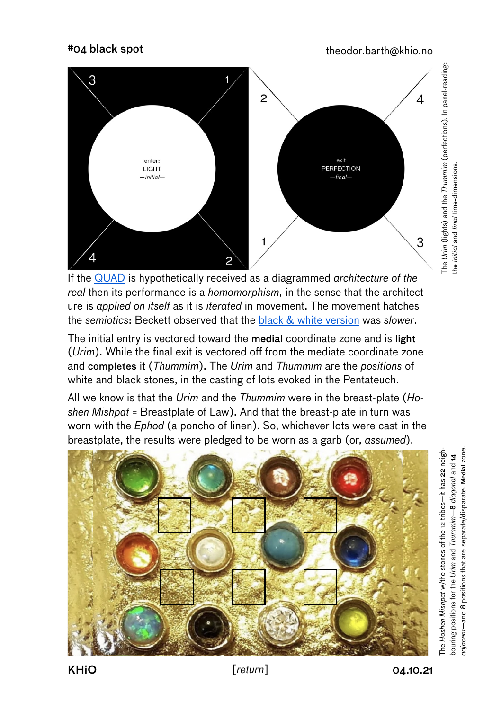#04 black spot [theodor.barth@khio.no](mailto:theodor.barth@khio.no)



If the [QUAD](https://www.youtube.com/watch?v=LPJBIvv13Bc) is hypothetically received as a diagrammed *architecture of the real* then its performance is a *homomorphism*, in the sense that the architecture is *applied on itself* as it is *iterated* in movement. The movement hatches the *semiotics*: Beckett observed that the [black & white version](https://www.youtube.com/watch?v=4ZDRfnICq9M&t=55s) was *slower*.

The initial entry is vectored toward the medial coordinate zone and is light (*Urim*). While the final exit is vectored off from the mediate coordinate zone and completes it (*Thummim*). The *Urim* and *Thummim* are the *positions* of white and black stones, in the casting of lots evoked in the Pentateuch.

All we know is that the *Urim* and the *Thummim* were in the breast-plate (*Hoshen Mishpat* = Breastplate of Law). And that the breast-plate in turn was worn with the *Ephod* (a poncho of linen). So, whichever lots were cast in the breastplate, the results were pledged to be worn as a garb (or, *assumed*).



*adjacent*—and 8 positions that are separate/disparate. Medial zone. idjacent-and 8 positions that are separate/disparate. Medial zone. The Hoshen Mishpat w/the stones of the 12 tribes-it has 22 neigh-The *Hoshen Mishpat* w/the stones of the 12 tribes—it has 22 neighoouring positions for the Urim and Thummim-8 diagonal and 14 —8 *diagonal* and 14 bouring positions for the *Urim* and *Thummim*

The *Urim* (lights) and the *Thummim* (perfections). In panel-reading:

The Urim (lights) and the Thummim (perfections). In panel-reading:<br>the initial and final time-dimensions.

the *initial* and *final* time-dimensions.

KHiO *compared [return***]** 04.10.21